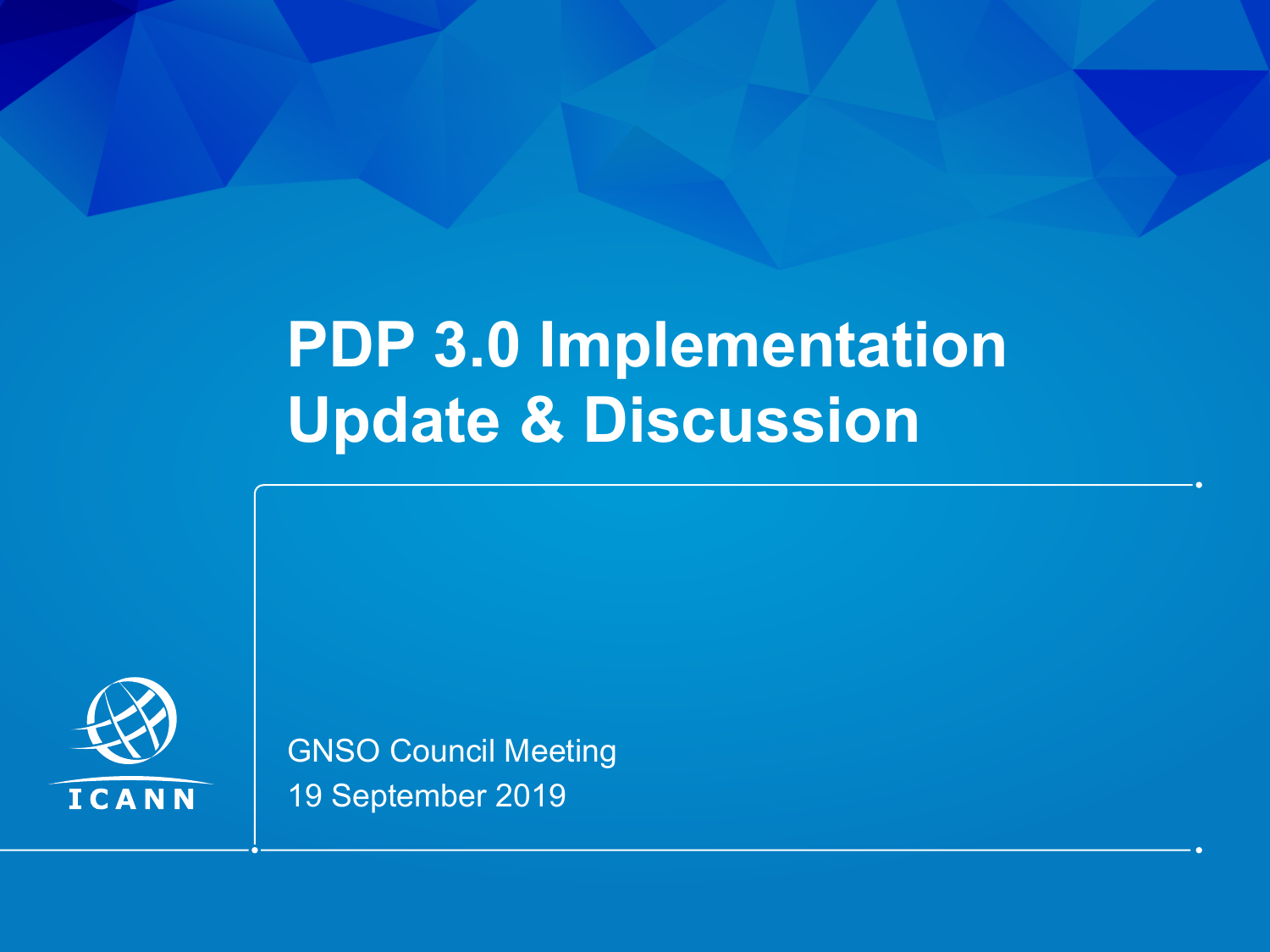# **PDP 3.0 Implementation Update & Discussion**



GNSO Council Meeting 19 September 2019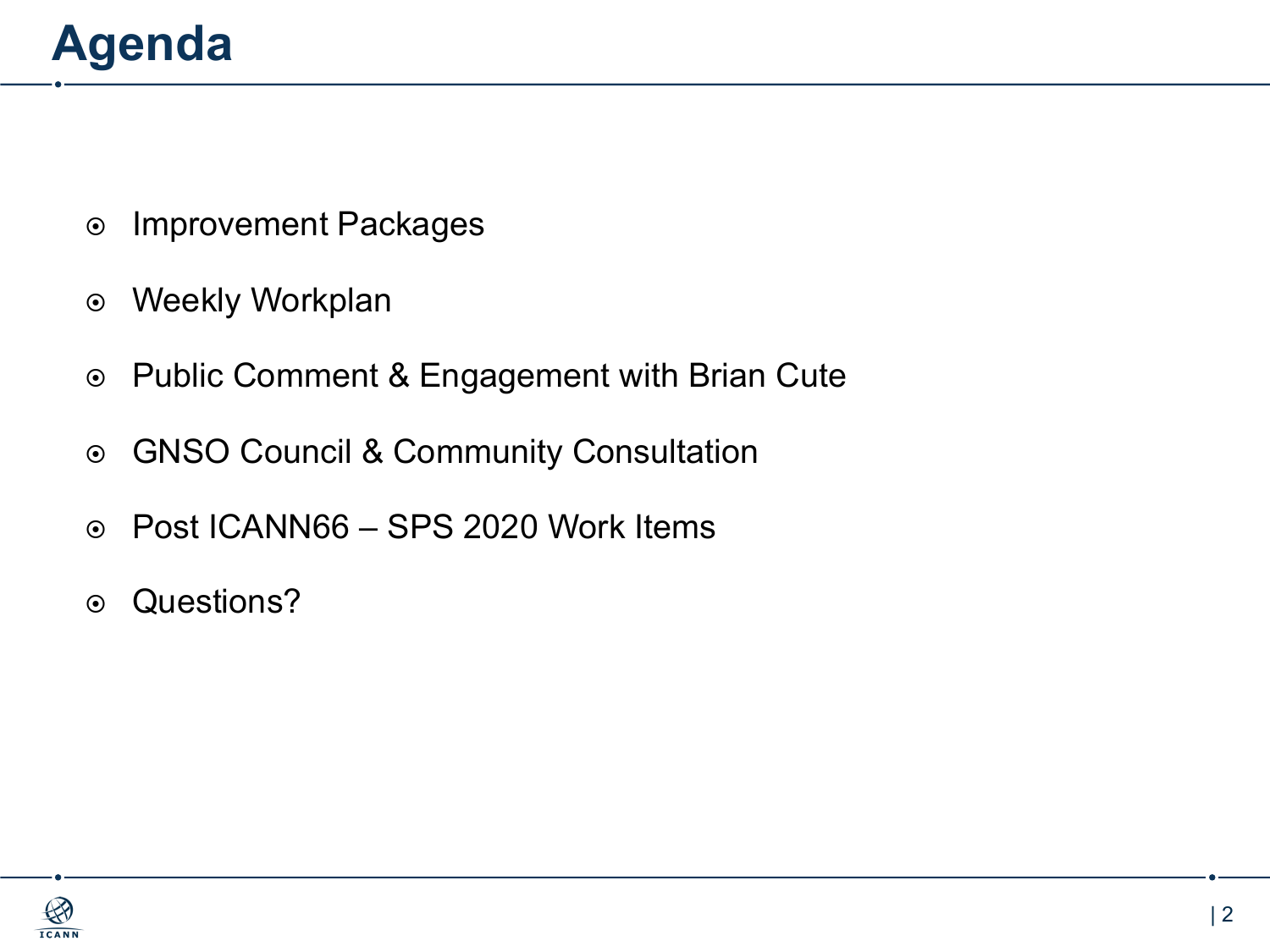- $\circ$  Improvement Packages
- $\odot$  Weekly Workplan
- ¤ Public Comment & Engagement with Brian Cute
- ◎ GNSO Council & Community Consultation
- ¤ Post ICANN66 SPS 2020 Work Items
- $\odot$  Questions?

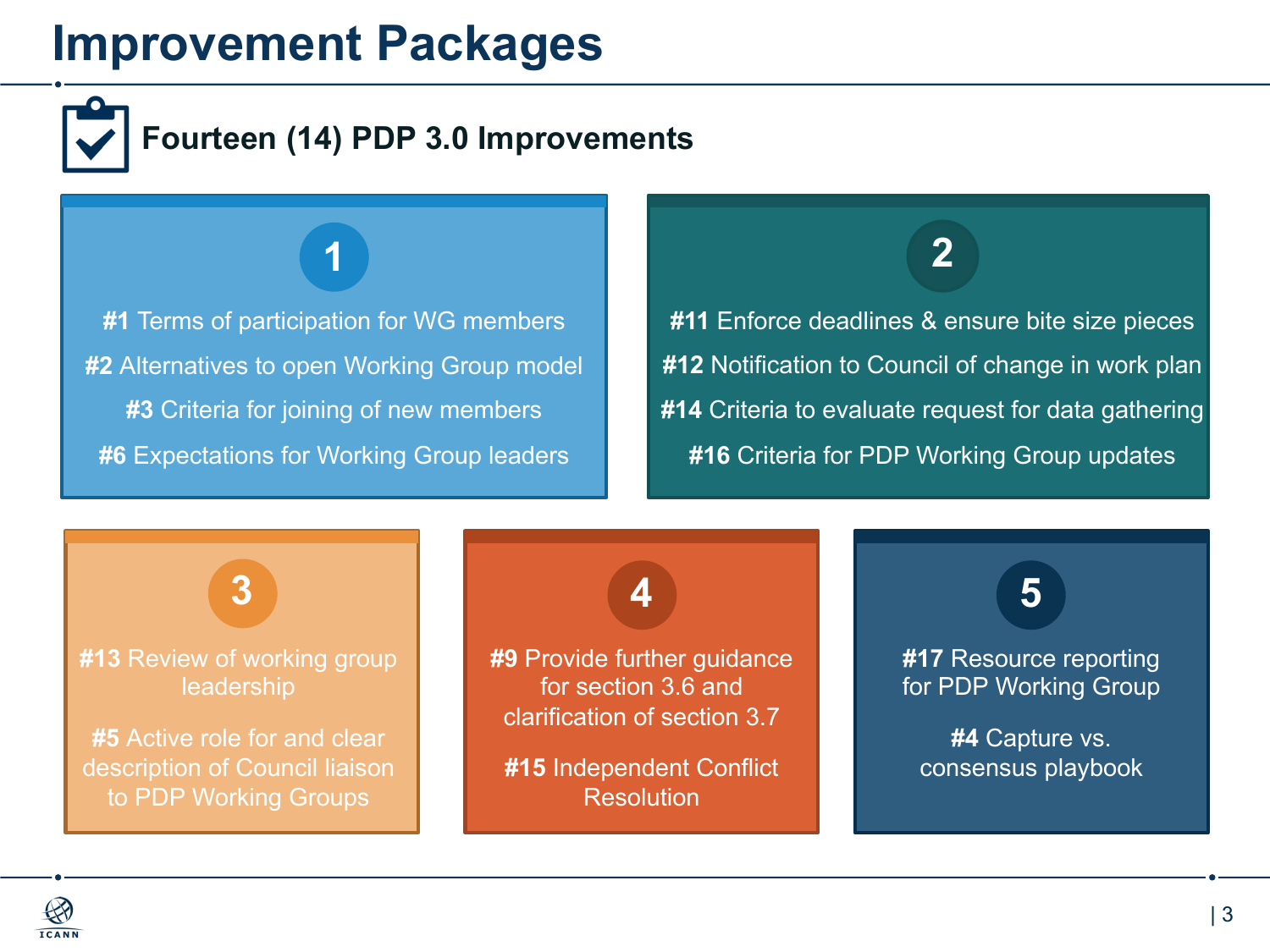## **Improvement Packages**



### **Fourteen (14) PDP 3.0 Improvements**

**#1** Terms of participation for WG members **#2** Alternatives to open Working Group model **#3** Criteria for joining of new members **#6 Expectations for Working Group leaders** 

### **1 2**

**#11** Enforce deadlines & ensure bite size pieces **#12** Notification to Council of change in work plan **#14** Criteria to evaluate request for data gathering **#16** Criteria for PDP Working Group updates

**3 4 5**

#### **#13** Review of working group leadership

**#5** Active role for and clear description of Council liaison to PDP Working Groups

**#9** Provide further guidance for section 3.6 and clarification of section 3.7

**#15** Independent Conflict Resolution

**#17** Resource reporting for PDP Working Group

**#4** Capture vs. consensus playbook

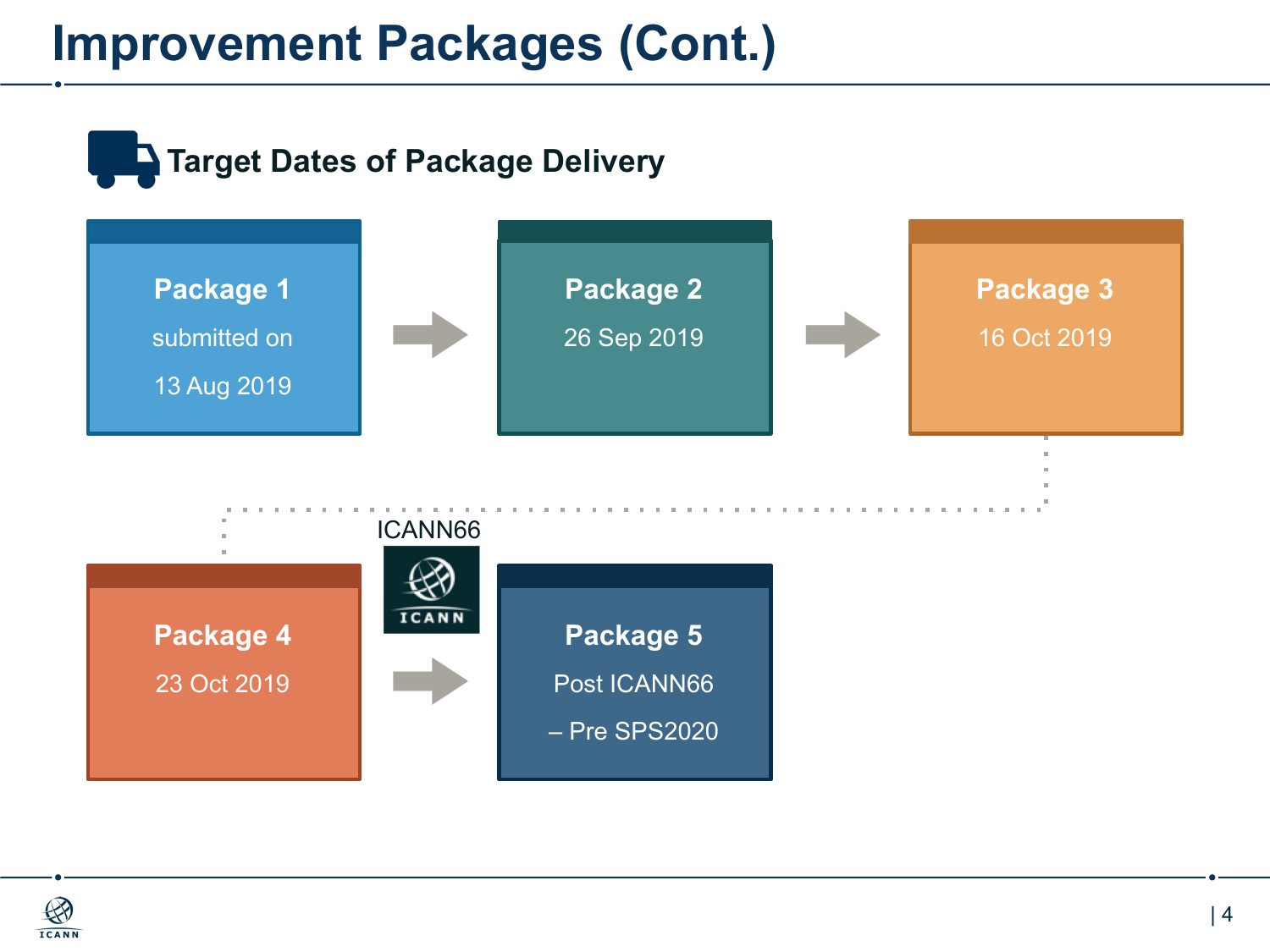## **Improvement Packages (Cont.)**



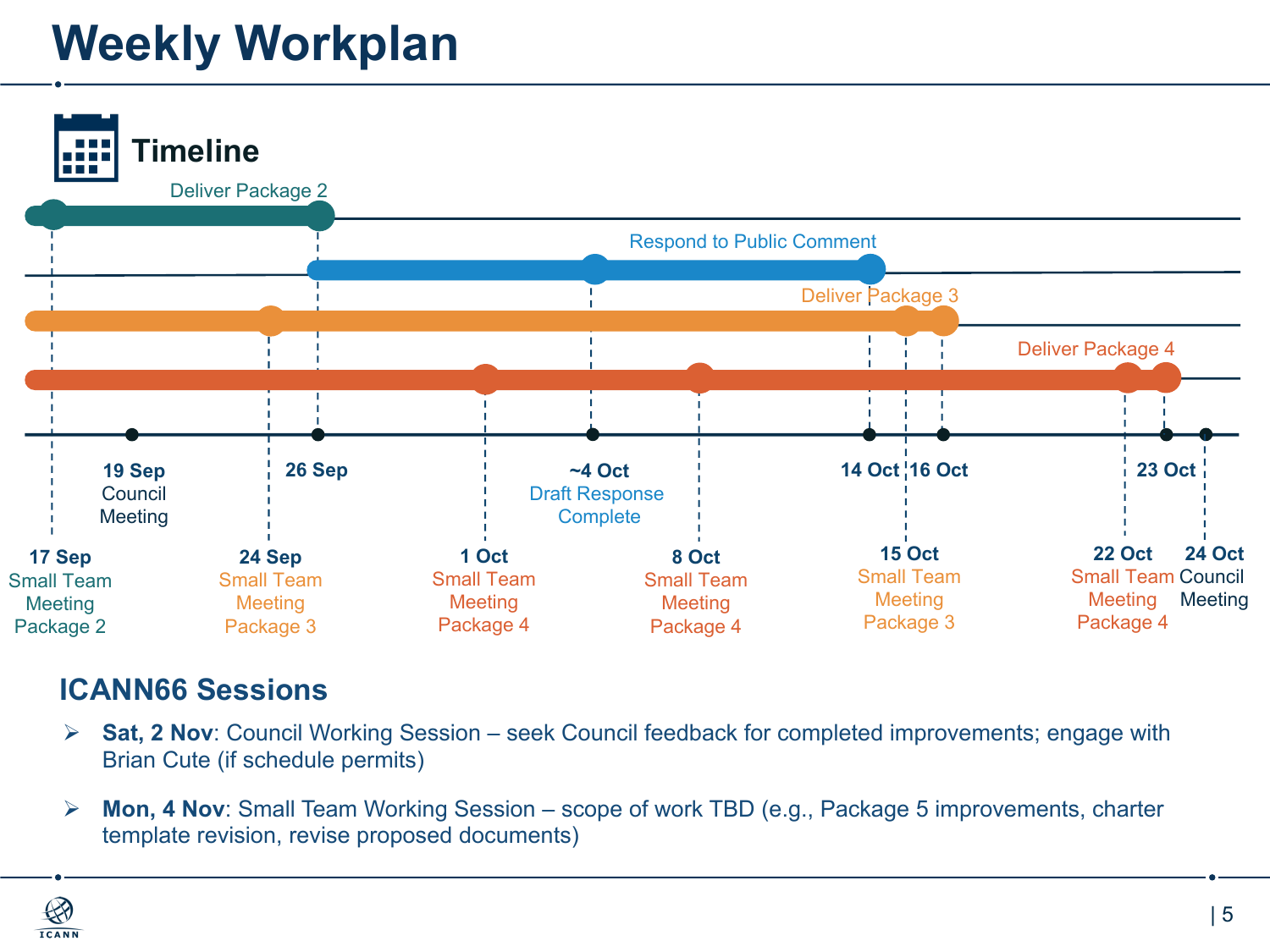## **Weekly Workplan**



#### **ICANN66 Sessions**

- Ø **Sat, 2 Nov**: Council Working Session seek Council feedback for completed improvements; engage with Brian Cute (if schedule permits)
- Ø **Mon, 4 Nov**: Small Team Working Session scope of work TBD (e.g., Package 5 improvements, charter template revision, revise proposed documents)

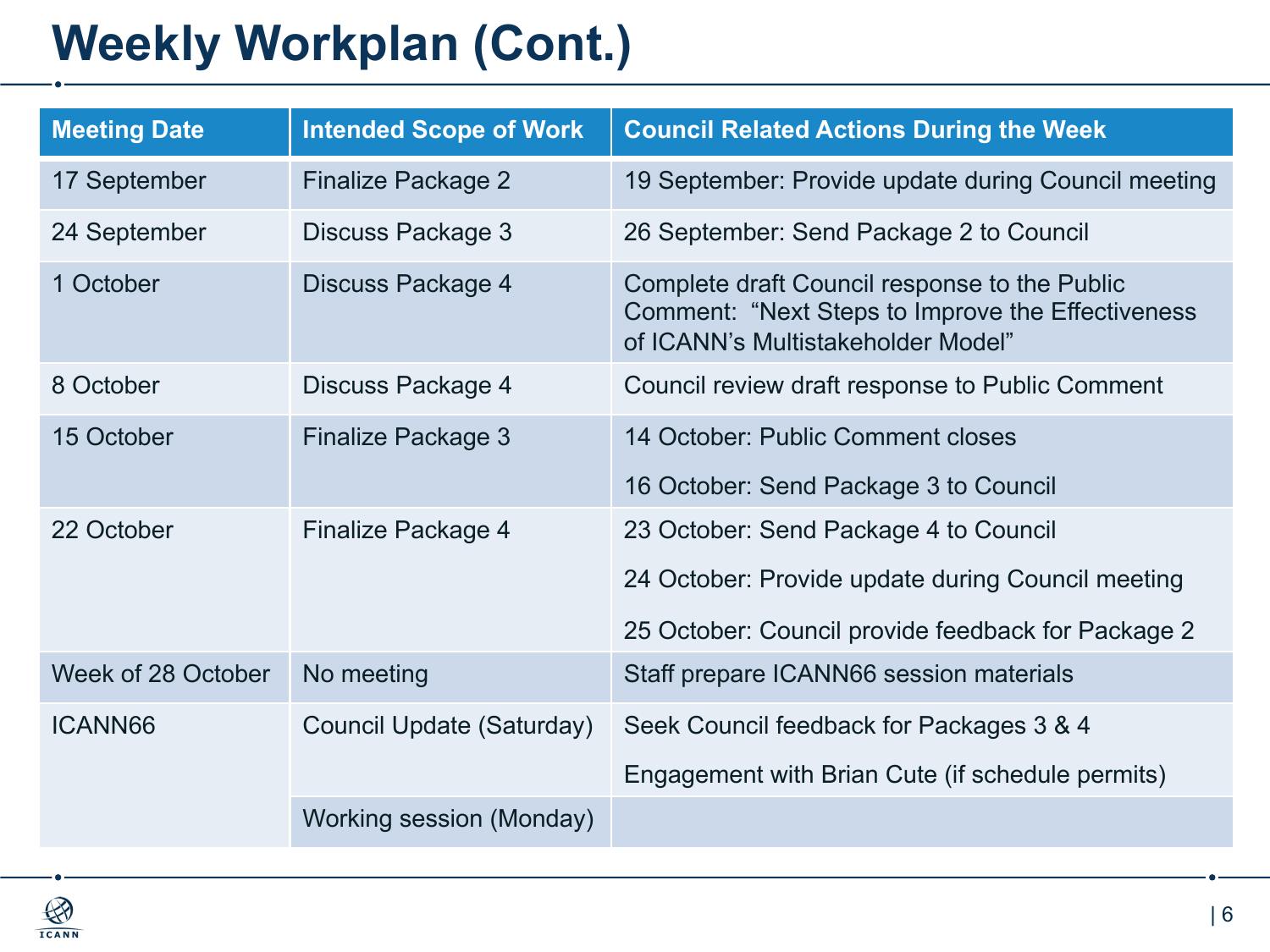## **Weekly Workplan (Cont.)**

| <b>Meeting Date</b> | <b>Intended Scope of Work</b> | <b>Council Related Actions During the Week</b>                                                                                           |
|---------------------|-------------------------------|------------------------------------------------------------------------------------------------------------------------------------------|
| 17 September        | Finalize Package 2            | 19 September: Provide update during Council meeting                                                                                      |
| 24 September        | Discuss Package 3             | 26 September: Send Package 2 to Council                                                                                                  |
| 1 October           | Discuss Package 4             | Complete draft Council response to the Public<br>Comment: "Next Steps to Improve the Effectiveness<br>of ICANN's Multistakeholder Model" |
| 8 October           | Discuss Package 4             | Council review draft response to Public Comment                                                                                          |
| 15 October          | Finalize Package 3            | 14 October: Public Comment closes                                                                                                        |
|                     |                               | 16 October: Send Package 3 to Council                                                                                                    |
| 22 October          | Finalize Package 4            | 23 October: Send Package 4 to Council                                                                                                    |
|                     |                               | 24 October: Provide update during Council meeting                                                                                        |
|                     |                               | 25 October: Council provide feedback for Package 2                                                                                       |
| Week of 28 October  | No meeting                    | Staff prepare ICANN66 session materials                                                                                                  |
| <b>ICANN66</b>      | Council Update (Saturday)     | Seek Council feedback for Packages 3 & 4                                                                                                 |
|                     |                               | Engagement with Brian Cute (if schedule permits)                                                                                         |
|                     | Working session (Monday)      |                                                                                                                                          |

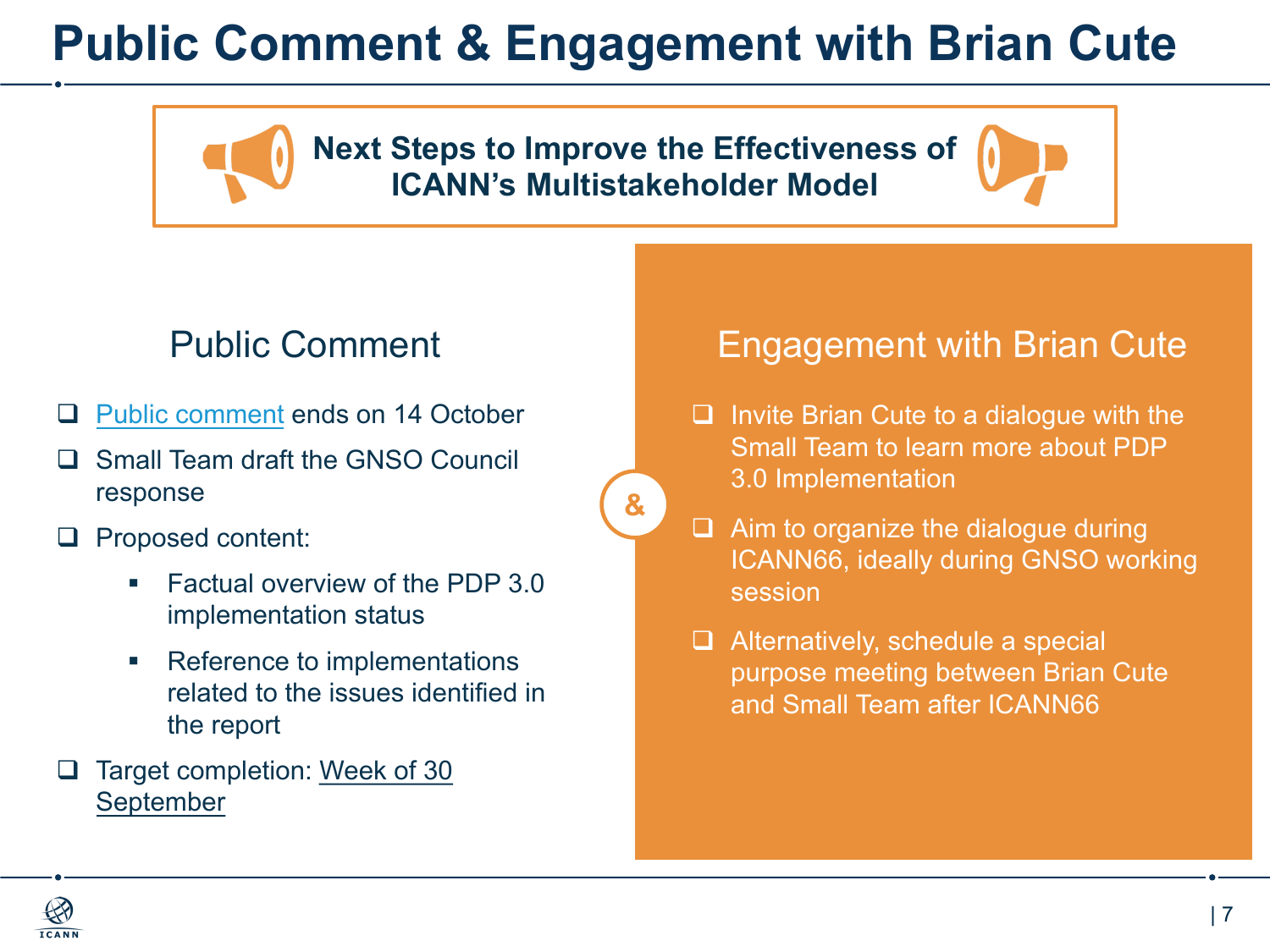## **Public Comment & Engagement with Brian Cute**

**Next Steps to Improve the Effectiveness of ICANN's Multistakeholder Model**

**&**

- **Q** [Public comment](https://www.icann.org/public-comments/multistakeholder-model-next-steps-2019-08-27-en) ends on 14 October
- Small Team draft the GNSO Council response
- $\Box$  Proposed content:
	- § Factual overview of the PDP 3.0 implementation status
	- Reference to implementations related to the issues identified in the report
- Target completion: Week of 30 September

#### Public Comment **Engagement with Brian Cute**

- $\Box$  Invite Brian Cute to a dialogue with the Small Team to learn more about PDP 3.0 Implementation
- $\Box$  Aim to organize the dialogue during ICANN66, ideally during GNSO working session
- $\Box$  Alternatively, schedule a special purpose meeting between Brian Cute and Small Team after ICANN66

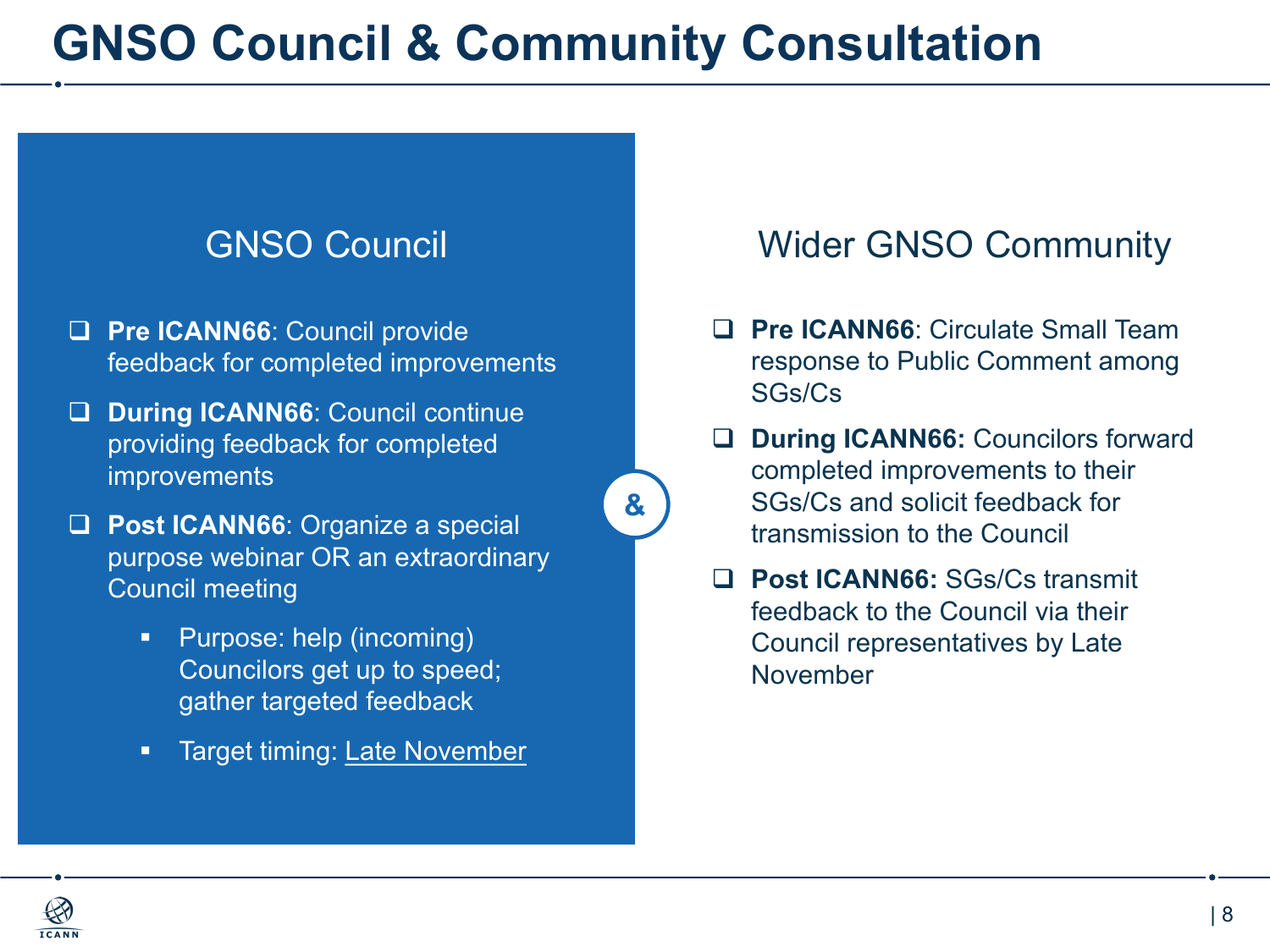## **GNSO Council & Community Consultation**

**&**

- **Q Pre ICANN66:** Council provide feedback for completed improvements
- q **During ICANN66**: Council continue providing feedback for completed improvements
- **Q Post ICANN66**: Organize a special purpose webinar OR an extraordinary Council meeting
	- Purpose: help (incoming) Councilors get up to speed; gather targeted feedback
	- **EXA** Target timing: Late November

#### GNSO Council **Wider GNSO Community**

- q **Pre ICANN66**: Circulate Small Team response to Public Comment among SGs/Cs
- **During ICANN66:** Councilors forward completed improvements to their SGs/Cs and solicit feedback for transmission to the Council
- q **Post ICANN66:** SGs/Cs transmit feedback to the Council via their Council representatives by Late November

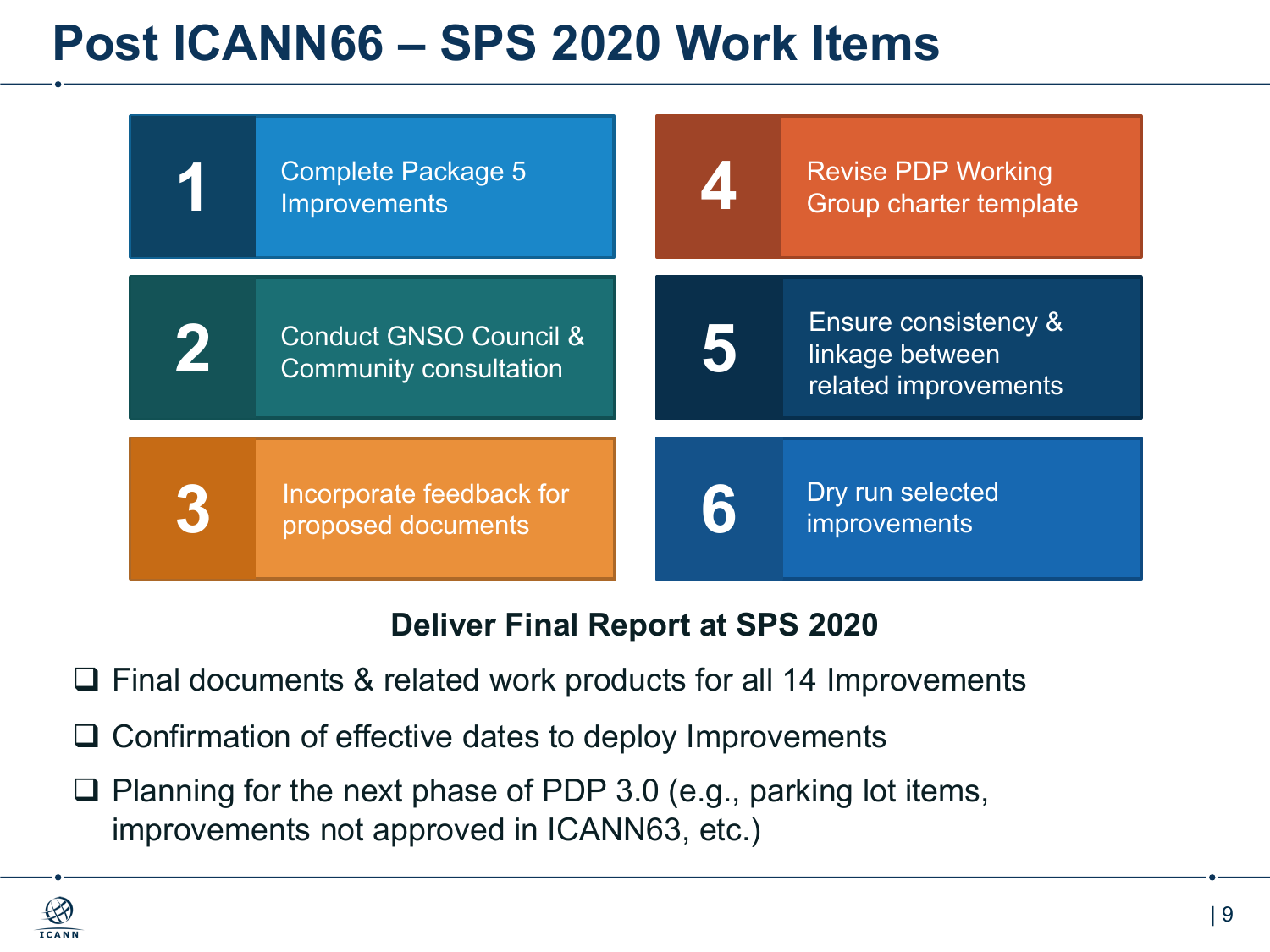## **Post ICANN66 – SPS 2020 Work Items**



#### **Deliver Final Report at SPS 2020**

- $\Box$  Final documents & related work products for all 14 Improvements
- $\Box$  Confirmation of effective dates to deploy Improvements
- $\Box$  Planning for the next phase of PDP 3.0 (e.g., parking lot items, improvements not approved in ICANN63, etc.)